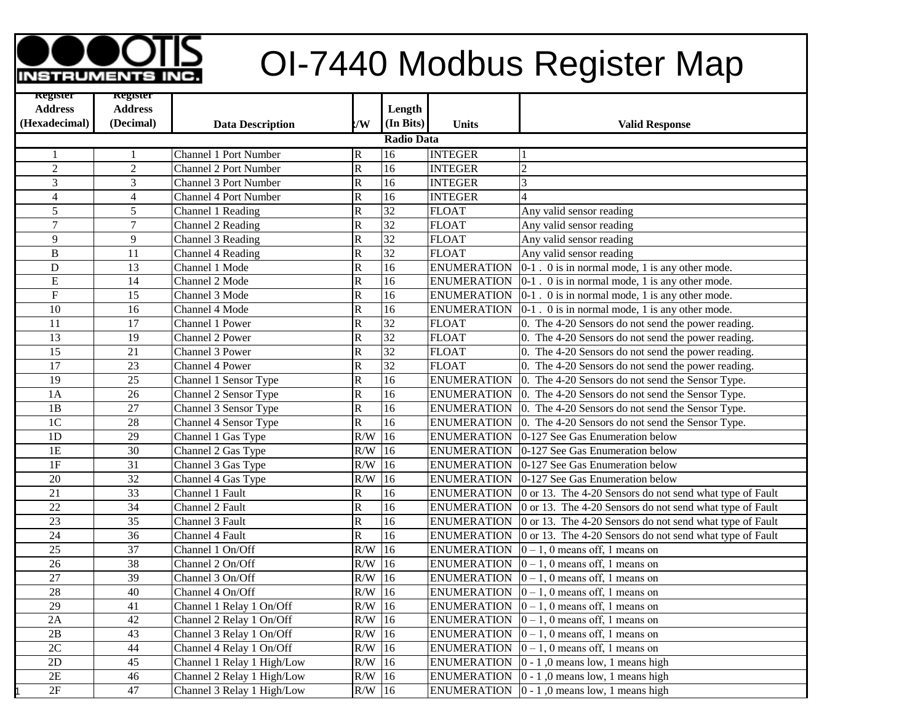## **OI-7440 Modbus Register Map**

| <b>Register</b>         | <b>Register</b> |                              |                         |                   |                    |                                                                                      |
|-------------------------|-----------------|------------------------------|-------------------------|-------------------|--------------------|--------------------------------------------------------------------------------------|
| <b>Address</b>          | <b>Address</b>  |                              |                         | Length            |                    |                                                                                      |
| (Hexadecimal)           | (Decimal)       | <b>Data Description</b>      | :/W                     | (In Bits)         | <b>Units</b>       | <b>Valid Response</b>                                                                |
|                         |                 |                              |                         | <b>Radio Data</b> |                    |                                                                                      |
| 1                       |                 | <b>Channel 1 Port Number</b> | $\overline{\mathbb{R}}$ | 16                | <b>INTEGER</b>     |                                                                                      |
| $\overline{c}$          | $\overline{c}$  | <b>Channel 2 Port Number</b> | ${\bf R}$               | 16                | <b>INTEGER</b>     | $\overline{c}$                                                                       |
| 3                       | 3               | <b>Channel 3 Port Number</b> | $\overline{\mathbf{R}}$ | 16                | <b>INTEGER</b>     | 3                                                                                    |
| $\overline{\mathbf{4}}$ | $\overline{4}$  | <b>Channel 4 Port Number</b> | ${\bf R}$               | 16                | <b>INTEGER</b>     | 4                                                                                    |
| 5                       | 5               | Channel 1 Reading            | $\overline{\mathbf{R}}$ | $\overline{32}$   | <b>FLOAT</b>       | Any valid sensor reading                                                             |
| 7                       | 7               | Channel 2 Reading            | ${\bf R}$               | $\overline{32}$   | <b>FLOAT</b>       | Any valid sensor reading                                                             |
| 9                       | 9               | Channel 3 Reading            | $\overline{\mathbf{R}}$ | 32                | <b>FLOAT</b>       | Any valid sensor reading                                                             |
| $\, {\bf B}$            | 11              | Channel 4 Reading            | $\overline{\mathbf{R}}$ | 32                | <b>FLOAT</b>       | Any valid sensor reading                                                             |
| ${\bf D}$               | 13              | Channel 1 Mode               | ${\bf R}$               | 16                | <b>ENUMERATION</b> | 0-1. 0 is in normal mode, 1 is any other mode.                                       |
| E                       | 14              | Channel 2 Mode               | $\overline{\mathbf{R}}$ | 16                | <b>ENUMERATION</b> | $0-1$ . 0 is in normal mode, 1 is any other mode.                                    |
| ${\bf F}$               | 15              | Channel 3 Mode               | ${\bf R}$               | 16                | <b>ENUMERATION</b> | $0-1$ . 0 is in normal mode, 1 is any other mode.                                    |
| $\overline{10}$         | $\overline{16}$ | Channel 4 Mode               | $\mathbb{R}$            | $\overline{16}$   | <b>ENUMERATION</b> | $ 0-1 $ . 0 is in normal mode, 1 is any other mode.                                  |
| $\overline{11}$         | 17              | Channel 1 Power              | $\overline{\mathbf{R}}$ | $\overline{32}$   | <b>FLOAT</b>       | 0. The 4-20 Sensors do not send the power reading.                                   |
| 13                      | 19              | Channel 2 Power              | $\overline{\mathbf{R}}$ | 32                | <b>FLOAT</b>       | 0. The 4-20 Sensors do not send the power reading.                                   |
| 15                      | $\overline{21}$ | Channel 3 Power              | $\overline{\mathbf{R}}$ | $\overline{32}$   | <b>FLOAT</b>       | 0. The 4-20 Sensors do not send the power reading.                                   |
| $\overline{17}$         | $\overline{23}$ | Channel 4 Power              | ${\bf R}$               | $\overline{32}$   | <b>FLOAT</b>       | 0. The 4-20 Sensors do not send the power reading.                                   |
| $\overline{19}$         | $\overline{25}$ | Channel 1 Sensor Type        | $\overline{\mathbf{R}}$ | 16                | <b>ENUMERATION</b> | 0. The 4-20 Sensors do not send the Sensor Type.                                     |
| 1A                      | 26              | Channel 2 Sensor Type        | $\overline{\mathbf{R}}$ | 16                | <b>ENUMERATION</b> | 0. The 4-20 Sensors do not send the Sensor Type.                                     |
| 1B                      | $\overline{27}$ | Channel 3 Sensor Type        | $\overline{\mathbf{R}}$ | $\overline{16}$   | <b>ENUMERATION</b> | 0. The 4-20 Sensors do not send the Sensor Type.                                     |
| $\overline{1C}$         | 28              | Channel 4 Sensor Type        | ${\bf R}$               | $\overline{16}$   | <b>ENUMERATION</b> | 0. The 4-20 Sensors do not send the Sensor Type.                                     |
| 1D                      | $\overline{29}$ | Channel 1 Gas Type           | R/W                     | $\overline{16}$   | <b>ENUMERATION</b> | 0-127 See Gas Enumeration below                                                      |
| 1E                      | $\overline{30}$ | Channel 2 Gas Type           | R/W                     | 16                | <b>ENUMERATION</b> | 0-127 See Gas Enumeration below                                                      |
| 1F                      | 31              | Channel 3 Gas Type           | R/W                     | 16                | <b>ENUMERATION</b> | 0-127 See Gas Enumeration below                                                      |
| 20                      | 32              | Channel 4 Gas Type           | R/W                     | 16                | <b>ENUMERATION</b> | 0-127 See Gas Enumeration below                                                      |
| 21                      | $\overline{33}$ | Channel 1 Fault              | ${\bf R}$               | 16                | <b>ENUMERATION</b> | 0 or 13. The 4-20 Sensors do not send what type of Fault                             |
| 22                      | 34              | Channel 2 Fault              | $\overline{\mathbf{R}}$ | 16                | <b>ENUMERATION</b> | 0 or 13. The 4-20 Sensors do not send what type of Fault                             |
| 23                      | 35              | Channel 3 Fault              | ${\bf R}$               | 16                | <b>ENUMERATION</b> | 0 or 13. The 4-20 Sensors do not send what type of Fault                             |
| $\overline{24}$         | $\overline{36}$ | Channel 4 Fault              | $\rm R$                 | $\overline{16}$   | <b>ENUMERATION</b> | 0 or 13. The 4-20 Sensors do not send what type of Fault                             |
| $\overline{25}$         | 37              | Channel 1 On/Off             | R/W                     | $\overline{16}$   | <b>ENUMERATION</b> | $0-1$ , 0 means off, 1 means on                                                      |
| 26                      | 38              | Channel 2 On/Off             | R/W                     | 16                | <b>ENUMERATION</b> | $0-1$ , 0 means off, 1 means on                                                      |
| $\overline{27}$         | $\overline{39}$ | Channel 3 On/Off             | R/W                     | $\overline{16}$   | <b>ENUMERATION</b> | $0-1$ , 0 means off, 1 means on                                                      |
| $\overline{28}$         | $\overline{40}$ | Channel 4 On/Off             | R/W                     | $\overline{16}$   | <b>ENUMERATION</b> | $ 0-1, 0$ means off, 1 means on                                                      |
| $\overline{29}$         | 41              | Channel 1 Relay 1 On/Off     | R/W                     | 16                | <b>ENUMERATION</b> | $ 0-1, 0$ means off, 1 means on                                                      |
| 2A                      | 42              | Channel 2 Relay 1 On/Off     | R/W                     | 16                | <b>ENUMERATION</b> | $ 0-1, 0$ means off, 1 means on                                                      |
| $\overline{2B}$         | $\overline{43}$ | Channel 3 Relay 1 On/Off     | R/W                     | $\overline{16}$   | <b>ENUMERATION</b> | $0-1$ , 0 means off, 1 means on                                                      |
| $\overline{2C}$         | 44              | Channel 4 Relay 1 On/Off     | R/W                     | 16                | <b>ENUMERATION</b> | $ 0-1, 0$ means off, 1 means on                                                      |
| $\overline{2D}$         | $\overline{45}$ | Channel 1 Relay 1 High/Low   | R/W                     | 16                | <b>ENUMERATION</b> | $ 0 - 1 $ , 0 means low, 1 means high                                                |
| $\overline{2E}$         | $\overline{46}$ | Channel 2 Relay 1 High/Low   | R/W                     | 16                | <b>ENUMERATION</b> | $0 - 1$ , 0 means low, 1 means high                                                  |
| 2F                      | 47              | Channel 3 Relay 1 High/Low   | $R/W$ 16                |                   |                    | ENUMERATION $\begin{bmatrix} 0 & -1 \\ 0 & -1 \end{bmatrix}$ means low, 1 means high |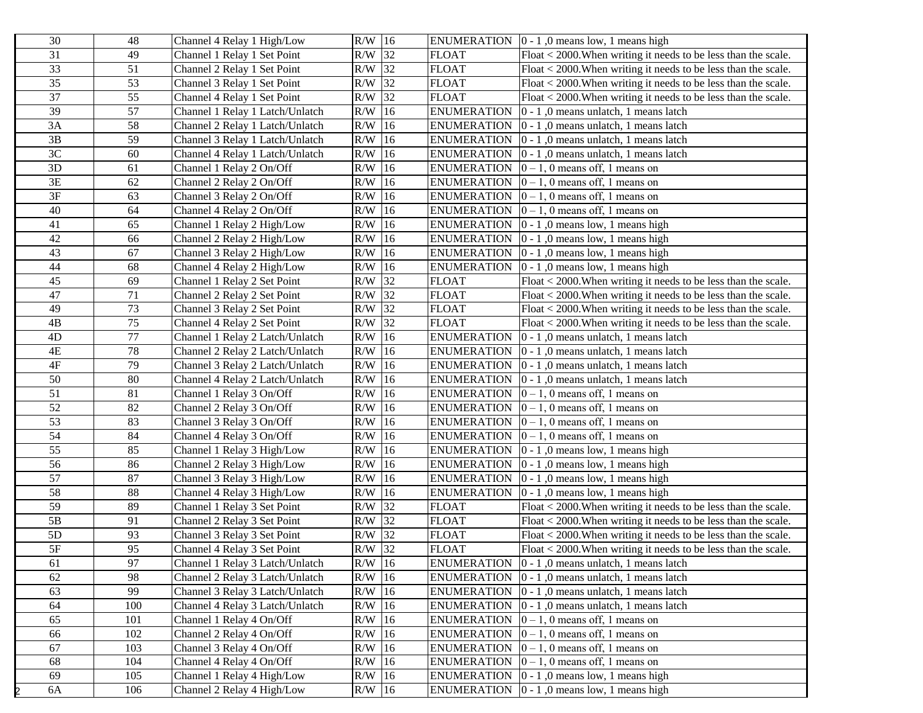| 30              | 48              | Channel 4 Relay 1 High/Low      | $R/W$ 16 |    | <b>ENUMERATION</b> | $0 - 1$ , 0 means low, 1 means high                                                |
|-----------------|-----------------|---------------------------------|----------|----|--------------------|------------------------------------------------------------------------------------|
| 31              | 49              | Channel 1 Relay 1 Set Point     | R/W 32   |    | FLOAT              | Float < 2000. When writing it needs to be less than the scale.                     |
| $\overline{33}$ | 51              | Channel 2 Relay 1 Set Point     | R/W 32   |    | <b>FLOAT</b>       | Float < 2000. When writing it needs to be less than the scale.                     |
| 35              | 53              | Channel 3 Relay 1 Set Point     | R/W 32   |    | <b>FLOAT</b>       | $Float < 2000. When writing it needs to be less than the scale.$                   |
| 37              | 55              | Channel 4 Relay 1 Set Point     | R/W 32   |    | <b>FLOAT</b>       | $Float < 2000. When writing it needs to be less than the scale.$                   |
| 39              | $\overline{57}$ | Channel 1 Relay 1 Latch/Unlatch | $R/W$ 16 |    | <b>ENUMERATION</b> | $ 0 - 1 $ , 0 means unlatch, 1 means latch                                         |
| 3A              | 58              | Channel 2 Relay 1 Latch/Unlatch | R/W      | 16 | <b>ENUMERATION</b> | $ 0 - 1 $ , 0 means unlatch, 1 means latch                                         |
| 3B              | 59              | Channel 3 Relay 1 Latch/Unlatch | R/W      | 16 | <b>ENUMERATION</b> | $ 0 - 1 $ , 0 means unlatch, 1 means latch                                         |
| 3C              | 60              | Channel 4 Relay 1 Latch/Unlatch | R/W      | 16 | <b>ENUMERATION</b> | $ 0 - 1 $ , 0 means unlatch, 1 means latch                                         |
| 3D              | 61              | Channel 1 Relay 2 On/Off        | R/W      | 16 | <b>ENUMERATION</b> | $ 0-1, 0$ means off, 1 means on                                                    |
| 3E              | 62              | Channel 2 Relay 2 On/Off        | R/W      | 16 | <b>ENUMERATION</b> | $0 - 1$ , 0 means off, 1 means on                                                  |
| $3\mathrm{F}$   | 63              | Channel 3 Relay 2 On/Off        | R/W      | 16 | <b>ENUMERATION</b> | $ 0-1, 0$ means off, 1 means on                                                    |
| 40              | 64              | Channel 4 Relay 2 On/Off        | R/W      | 16 | <b>ENUMERATION</b> | $ 0-1, 0$ means off, 1 means on                                                    |
| 41              | 65              | Channel 1 Relay 2 High/Low      | R/W      | 16 | <b>ENUMERATION</b> | $ 0 - 1 $ , 0 means low, 1 means high                                              |
| 42              | 66              | Channel 2 Relay 2 High/Low      | R/W      | 16 | <b>ENUMERATION</b> | $ 0 - 1 $ , 0 means low, 1 means high                                              |
| 43              | 67              | Channel 3 Relay 2 High/Low      | R/W      | 16 | <b>ENUMERATION</b> | $ 0 - 1 $ , 0 means low, 1 means high                                              |
| 44              | 68              | Channel 4 Relay 2 High/Low      | R/W      | 16 | <b>ENUMERATION</b> | $ 0 - 1 $ , 0 means low, 1 means high                                              |
| 45              | 69              | Channel 1 Relay 2 Set Point     | R/W      | 32 | <b>FLOAT</b>       | Float < 2000. When writing it needs to be less than the scale.                     |
| 47              | 71              | Channel 2 Relay 2 Set Point     | R/W      | 32 | <b>FLOAT</b>       | Float < 2000. When writing it needs to be less than the scale.                     |
| 49              | 73              | Channel 3 Relay 2 Set Point     | R/W      | 32 | <b>FLOAT</b>       | Float < 2000. When writing it needs to be less than the scale.                     |
| 4B              | 75              | Channel 4 Relay 2 Set Point     | R/W      | 32 | <b>FLOAT</b>       | $\overline{\text{Float}}$ < 2000. When writing it needs to be less than the scale. |
| 4D              | 77              | Channel 1 Relay 2 Latch/Unlatch | R/W      | 16 | <b>ENUMERATION</b> | $ 0 - 1 $ , 0 means unlatch, 1 means latch                                         |
| 4E              | 78              | Channel 2 Relay 2 Latch/Unlatch | R/W      | 16 | <b>ENUMERATION</b> | $ 0 - 1 $ , 0 means unlatch, 1 means latch                                         |
| $4\mathrm{F}$   | 79              | Channel 3 Relay 2 Latch/Unlatch | R/W      | 16 | <b>ENUMERATION</b> | $ 0 - 1 $ , 0 means unlatch, 1 means latch                                         |
| 50              | 80              | Channel 4 Relay 2 Latch/Unlatch | R/W      | 16 | <b>ENUMERATION</b> | $ 0 - 1 $ , 0 means unlatch, 1 means latch                                         |
| 51              | 81              | Channel 1 Relay 3 On/Off        | $R/W$ 16 |    | <b>ENUMERATION</b> | $ 0-1, 0$ means off, 1 means on                                                    |
| 52              | 82              | Channel 2 Relay 3 On/Off        | $R/W$ 16 |    | <b>ENUMERATION</b> | $ 0-1, 0$ means off, 1 means on                                                    |
| 53              | 83              | Channel 3 Relay 3 On/Off        | $R/W$ 16 |    | <b>ENUMERATION</b> | $0-1$ , 0 means off, 1 means on                                                    |
| 54              | 84              | Channel 4 Relay 3 On/Off        | $R/W$ 16 |    | <b>ENUMERATION</b> | $ 0-1, 0$ means off, 1 means on                                                    |
| 55              | 85              | Channel 1 Relay 3 High/Low      | $R/W$ 16 |    | <b>ENUMERATION</b> | $ 0 - 1 $ , 0 means low, 1 means high                                              |
| 56              | 86              | Channel 2 Relay 3 High/Low      | $R/W$ 16 |    | <b>ENUMERATION</b> | $0 - 1$ , 0 means low, 1 means high                                                |
| 57              | 87              | Channel 3 Relay 3 High/Low      | $R/W$ 16 |    | <b>ENUMERATION</b> | $0 - 1$ , 0 means low, 1 means high                                                |
| 58              | 88              | Channel 4 Relay 3 High/Low      | $R/W$ 16 |    | <b>ENUMERATION</b> | $ 0 - 1 $ , 0 means low, 1 means high                                              |
| 59              | 89              | Channel 1 Relay 3 Set Point     | $R/W$ 32 |    | <b>FLOAT</b>       | Float < 2000. When writing it needs to be less than the scale.                     |
| 5B              | 91              | Channel 2 Relay 3 Set Point     | $R/W$ 32 |    | <b>FLOAT</b>       | Float < 2000. When writing it needs to be less than the scale.                     |
| $5D$            | 93              | Channel 3 Relay 3 Set Point     | $R/W$ 32 |    | <b>FLOAT</b>       | $F$ loat $\lt$ 2000. When writing it needs to be less than the scale.              |
| $5F$            | $\overline{95}$ | Channel 4 Relay 3 Set Point     | $R/W$ 32 |    | <b>FLOAT</b>       | Float < 2000. When writing it needs to be less than the scale.                     |
| 61              | 97              | Channel 1 Relay 3 Latch/Unlatch | $R/W$ 16 |    |                    | ENUMERATION $\vert 0 - 1 \vert$ , 0 means unlatch, 1 means latch                   |
| 62              | 98              | Channel 2 Relay 3 Latch/Unlatch | $R/W$ 16 |    | <b>ENUMERATION</b> | $ 0 - 1 $ , 0 means unlatch, 1 means latch                                         |
| 63              | 99              | Channel 3 Relay 3 Latch/Unlatch | $R/W$ 16 |    | <b>ENUMERATION</b> | 0 - 1,0 means unlatch, 1 means latch                                               |
| 64              | 100             | Channel 4 Relay 3 Latch/Unlatch | $R/W$ 16 |    | <b>ENUMERATION</b> | $ 0 - 1 $ , 0 means unlatch, 1 means latch                                         |
| 65              | 101             | Channel 1 Relay 4 On/Off        | $R/W$ 16 |    | <b>ENUMERATION</b> | $ 0-1, 0$ means off, 1 means on                                                    |
| 66              | 102             | Channel 2 Relay 4 On/Off        | $R/W$ 16 |    | <b>ENUMERATION</b> | $\boxed{0-1}$ , 0 means off, 1 means on                                            |
| 67              | 103             | Channel 3 Relay 4 On/Off        | $R/W$ 16 |    | <b>ENUMERATION</b> | $0 - 1$ , 0 means off, 1 means on                                                  |
| 68              | 104             | Channel 4 Relay 4 On/Off        | $R/W$ 16 |    | <b>ENUMERATION</b> | $ 0-1, 0$ means off, 1 means on                                                    |
| 69              | 105             | Channel 1 Relay 4 High/Low      | $R/W$ 16 |    | <b>ENUMERATION</b> | $0 - 1$ , 0 means low, 1 means high                                                |
| 6A              | 106             | Channel 2 Relay 4 High/Low      | R/W 16   |    |                    | ENUMERATION $\vert 0 - 1 \vert$ , 0 means low, 1 means high                        |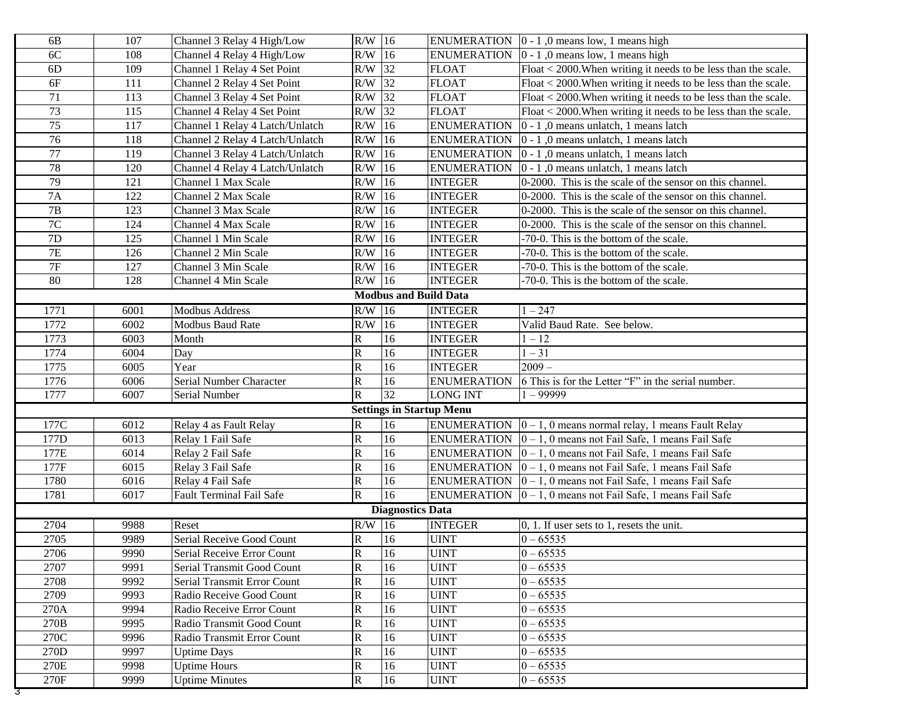| 6B              | 107  | Channel 3 Relay 4 High/Low      | R/W                     | 16                           |                                 | ENUMERATION $\vert 0 - 1 \vert$ , 0 means low, 1 means high               |
|-----------------|------|---------------------------------|-------------------------|------------------------------|---------------------------------|---------------------------------------------------------------------------|
| 6C              | 108  | Channel 4 Relay 4 High/Low      | R/W                     | 16                           | <b>ENUMERATION</b>              | $ 0 - 1 $ , 0 means low, 1 means high                                     |
| 6 <sub>D</sub>  | 109  | Channel 1 Relay 4 Set Point     | R/W                     | 32                           | <b>FLOAT</b>                    | Float < 2000. When writing it needs to be less than the scale.            |
| 6F              | 111  | Channel 2 Relay 4 Set Point     | R/W                     | 32                           | <b>FLOAT</b>                    | Float < 2000. When writing it needs to be less than the scale.            |
| 71              | 113  | Channel 3 Relay 4 Set Point     | R/W                     | 32                           | <b>FLOAT</b>                    | Float < 2000. When writing it needs to be less than the scale.            |
| $\overline{73}$ | 115  | Channel 4 Relay 4 Set Point     | R/W                     | 32                           | <b>FLOAT</b>                    | Float < 2000. When writing it needs to be less than the scale.            |
| $\overline{75}$ | 117  | Channel 1 Relay 4 Latch/Unlatch | R/W                     | 16                           | <b>ENUMERATION</b>              | 0 - 1,0 means unlatch, 1 means latch                                      |
| 76              | 118  | Channel 2 Relay 4 Latch/Unlatch | R/W                     | 16                           | <b>ENUMERATION</b>              | $ 0 - 1 $ , 0 means unlatch, 1 means latch                                |
| 77              | 119  | Channel 3 Relay 4 Latch/Unlatch | $\rm R/W$               | 16                           | <b>ENUMERATION</b>              | $ 0 - 1 $ , 0 means unlatch, 1 means latch                                |
| 78              | 120  | Channel 4 Relay 4 Latch/Unlatch | R/W                     | 16                           | <b>ENUMERATION</b>              | 0 - 1,0 means unlatch, 1 means latch                                      |
| 79              | 121  | Channel 1 Max Scale             | R/W                     | 16                           | <b>INTEGER</b>                  | 0-2000. This is the scale of the sensor on this channel.                  |
| 7A              | 122  | Channel 2 Max Scale             | R/W                     | 16                           | <b>INTEGER</b>                  | 0-2000. This is the scale of the sensor on this channel.                  |
| $7\mathrm{B}$   | 123  | Channel 3 Max Scale             | R/W                     | 16                           | <b>INTEGER</b>                  | 0-2000. This is the scale of the sensor on this channel.                  |
| $7\mathrm{C}$   | 124  | Channel 4 Max Scale             | R/W                     | 16                           | <b>INTEGER</b>                  | 0-2000. This is the scale of the sensor on this channel.                  |
| $7\mathrm{D}$   | 125  | Channel 1 Min Scale             | R/W                     | 16                           | <b>INTEGER</b>                  | -70-0. This is the bottom of the scale.                                   |
| $7\mathrm{E}$   | 126  | Channel 2 Min Scale             | R/W                     | 16                           | <b>INTEGER</b>                  | -70-0. This is the bottom of the scale.                                   |
| $7\mathrm{F}$   | 127  | Channel 3 Min Scale             | R/W                     | 16                           | <b>INTEGER</b>                  | -70-0. This is the bottom of the scale.                                   |
| 80              | 128  | Channel 4 Min Scale             | R/W                     | 16                           | <b>INTEGER</b>                  | -70-0. This is the bottom of the scale.                                   |
|                 |      |                                 |                         | <b>Modbus and Build Data</b> |                                 |                                                                           |
| 1771            | 6001 | <b>Modbus Address</b>           | R/W                     | 16                           | <b>INTEGER</b>                  | $1 - 247$                                                                 |
| 1772            | 6002 | Modbus Baud Rate                | R/W                     | 16                           | <b>INTEGER</b>                  | Valid Baud Rate. See below.                                               |
| 1773            | 6003 | Month                           | R                       | 16                           | <b>INTEGER</b>                  | $1 - 12$                                                                  |
| 1774            | 6004 | Day                             | $\mathsf R$             | 16                           | <b>INTEGER</b>                  | $1 - 31$                                                                  |
| 1775            | 6005 | Year                            | ${\bf R}$               | 16                           | <b>INTEGER</b>                  | $2009 -$                                                                  |
| 1776            | 6006 | Serial Number Character         | ${\bf R}$               | 16                           | <b>ENUMERATION</b>              | 6 This is for the Letter "F" in the serial number.                        |
| 1777            | 6007 | Serial Number                   | $\overline{\text{R}}$   | 32                           | <b>LONG INT</b>                 | $1 - 99999$                                                               |
|                 |      |                                 |                         |                              | <b>Settings in Startup Menu</b> |                                                                           |
| 177C            | 6012 | Relay 4 as Fault Relay          | $\mathbb R$             | 16                           |                                 | ENUMERATION $ 0 - 1, 0$ means normal relay, 1 means Fault Relay           |
| 177D            | 6013 | Relay 1 Fail Safe               | $\overline{\mathbf{R}}$ | 16                           |                                 | ENUMERATION $\vert 0-1, 0 \rangle$ means not Fail Safe, 1 means Fail Safe |
| 177E            | 6014 | Relay 2 Fail Safe               | $\mathbf R$             | 16                           | <b>ENUMERATION</b>              | $ 0-1, 0 $ means not Fail Safe, 1 means Fail Safe                         |
| 177F            | 6015 | Relay 3 Fail Safe               | $\overline{\text{R}}$   | 16                           | <b>ENUMERATION</b>              | $ 0 - 1$ , 0 means not Fail Safe, 1 means Fail Safe                       |
| 1780            | 6016 | Relay 4 Fail Safe               | $\overline{\mathbf{R}}$ | 16                           |                                 | ENUMERATION $\vert 0-1, 0 \rangle$ means not Fail Safe, 1 means Fail Safe |
| 1781            | 6017 | <b>Fault Terminal Fail Safe</b> | $\overline{\text{R}}$   | 16                           |                                 | ENUMERATION $\vert 0-1, 0 \rangle$ means not Fail Safe, 1 means Fail Safe |
|                 |      |                                 |                         | <b>Diagnostics Data</b>      |                                 |                                                                           |
| 2704            | 9988 | Reset                           | $R/W$ 16                |                              | <b>INTEGER</b>                  | $[0, 1]$ . If user sets to 1, resets the unit.                            |
| 2705            | 9989 | Serial Receive Good Count       | R                       | 16                           | <b>UINT</b>                     | $0 - 65535$                                                               |
| 2706            | 9990 | Serial Receive Error Count      | $\overline{\mathbf{R}}$ | 16                           | <b>UINT</b>                     | $0 - 65535$                                                               |
| 2707            | 9991 | Serial Transmit Good Count      | $\rm R$                 | 16                           | <b>UINT</b>                     | $0 - 65535$                                                               |
| 2708            | 9992 | Serial Transmit Error Count     | $\mathsf{R}$            | 16                           | <b>UINT</b>                     | $0 - 65535$                                                               |
| 2709            | 9993 | Radio Receive Good Count        | $\mathsf R$             | 16                           | <b>UINT</b>                     | $0 - 65535$                                                               |
| 270A            | 9994 | Radio Receive Error Count       | ${\bf R}$               | 16                           | <b>UINT</b>                     | $0 - 65535$                                                               |
| 270B            | 9995 | Radio Transmit Good Count       | ${\bf R}$               | 16                           | <b>UINT</b>                     | $0 - 65535$                                                               |
| 270C            | 9996 | Radio Transmit Error Count      | $\mathbf R$             | 16                           | <b>UINT</b>                     | $0 - 65535$                                                               |
| 270D            | 9997 | <b>Uptime Days</b>              | $\mathbf R$             | 16                           | <b>UINT</b>                     | $0 - 65535$                                                               |
| 270E            | 9998 | <b>Uptime Hours</b>             | $\mathbf R$             | 16                           | <b>UINT</b>                     | $0 - 65535$                                                               |
| 270F<br>उ       | 9999 | <b>Uptime Minutes</b>           | ${\bf R}$               | 16                           | <b>UINT</b>                     | $0 - 65535$                                                               |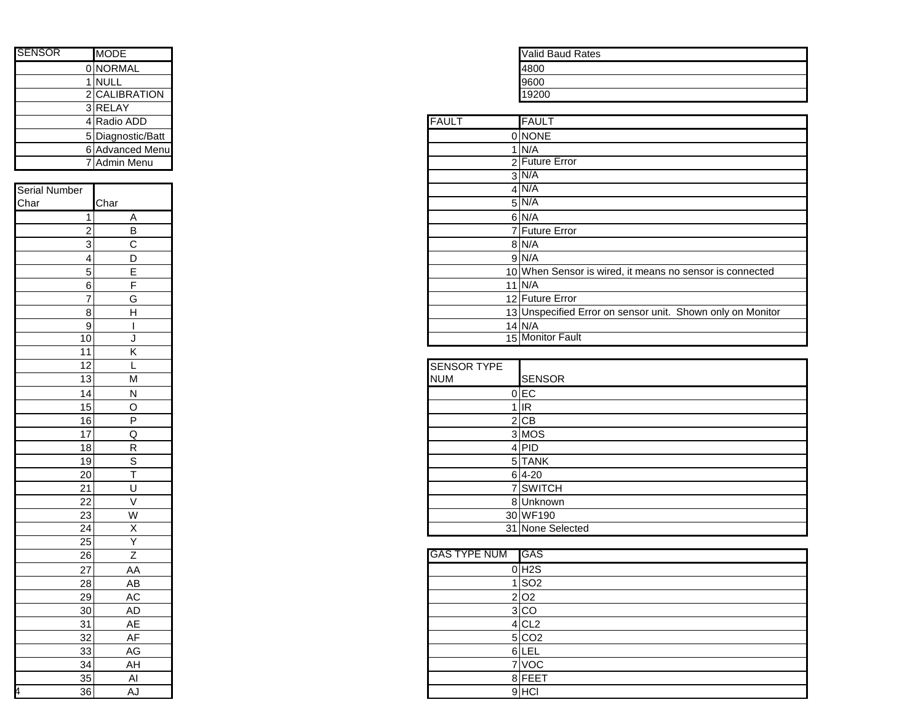| <b>SENSOR</b> | <b>MODE</b>       |              | <b>Valid Baud Rates</b> |
|---------------|-------------------|--------------|-------------------------|
|               | 0 NORMAL          |              | 4800                    |
|               | <b>NULL</b>       |              | 9600                    |
|               | 2 CALIBRATION     |              | 19200                   |
|               | 3 RELAY           |              |                         |
|               | 4 Radio ADD       | <b>FAULT</b> | <b>FAULT</b>            |
|               | 5 Diagnostic/Batt |              | 0 NONE                  |
|               | 6 Advanced Menu   |              | I N/A                   |
|               | Admin Menu        |              | 2 Future Error          |
|               |                   |              | $\sim$ $\sqrt{11/2}$    |

| Serial Number   |                                                         |
|-----------------|---------------------------------------------------------|
| Char            | Char                                                    |
|                 |                                                         |
| $\frac{1}{2}$   |                                                         |
| $\frac{3}{4}$   |                                                         |
|                 |                                                         |
| 5               |                                                         |
| 6               | $\frac{A}{B}$ $\frac{B}{C}$ $\frac{D}{E}$ $\frac{E}{F}$ |
| 7               | G                                                       |
| 8               | $\overline{H}$                                          |
| 9               | I                                                       |
| 10              | $\overline{\mathsf{J}}$                                 |
| $\overline{11}$ | K                                                       |
| $\overline{12}$ | $\frac{1}{N}$                                           |
| $\overline{13}$ |                                                         |
| $\overline{14}$ | $\overline{\mathsf{N}}$                                 |
| 15              | $\overline{\circ}$                                      |
| 16              | $\overline{P}$                                          |
| 17              |                                                         |
| $\overline{18}$ | $\frac{Q}{R}$ $\frac{S}{T}$                             |
| 19              |                                                         |
| 20              |                                                         |
| 21              |                                                         |
| $\overline{22}$ | $\frac{1}{\sqrt{2}}$                                    |
|                 | W                                                       |
| $\frac{23}{24}$ | $\frac{\mathsf{X}}{\mathsf{Y}}$                         |
| $\overline{25}$ |                                                         |
| $\overline{26}$ | Z                                                       |
| 27              | $A\overline{A}$                                         |
| 28              | AB                                                      |
| 29              | AC                                                      |
| 30              | AD                                                      |
| 31              | AE                                                      |
| 32              | AF                                                      |
| 33              | AG                                                      |
| 34              | AH                                                      |
| 35              | Al                                                      |
| 36<br>4         | .<br>AJ                                                 |
|                 |                                                         |

| <b>Valid Baud Rates</b> |
|-------------------------|
| 4800                    |
| 9600                    |
| 19200                   |

|                 | 4 Radio ADD       | <b>FAULT</b> | <b>FAULT</b>                                               |
|-----------------|-------------------|--------------|------------------------------------------------------------|
|                 | 5 Diagnostic/Batt |              | 0 NONE                                                     |
|                 | 6 Advanced Menu   |              | $1$ N/A                                                    |
|                 | 7 Admin Menu      |              | 2 Future Error                                             |
|                 |                   |              | $3$ N/A                                                    |
|                 |                   |              | $4$ N/A                                                    |
|                 | Char              |              | $5$ N/A                                                    |
|                 | A                 |              | $6$ N/A                                                    |
| 2               | B                 |              | 7 Future Error                                             |
| 3               | C                 |              | 8 N/A                                                      |
| 4               | D                 |              | $9$ N/A                                                    |
| $\sqrt{5}$      | F                 |              | 10 When Sensor is wired, it means no sensor is connected   |
| 6               |                   |              | $11$ N/A                                                   |
| 7               | G                 |              | 12 Future Error                                            |
| 8               | H                 |              | 13 Unspecified Error on sensor unit. Shown only on Monitor |
| 9               |                   |              | $14$ N/A                                                   |
| 10 <sub>1</sub> | J                 |              | 15 Monitor Fault                                           |

| 12                |   | <b>SENSOR TYPE</b> |                  |
|-------------------|---|--------------------|------------------|
| 13                | M | <b>NUM</b>         | <b>SENSOR</b>    |
| 14                | N |                    | $0$ EC           |
| 15                | Ω |                    | $1$ IR           |
| 16                | D |                    | 2 CB             |
| 17                | Q |                    | 3 MOS            |
| 18                | R |                    | $4$ PID          |
| 19                | S |                    | 5 TANK           |
| $\overline{20}$   |   |                    | $6 4-20$         |
| $\frac{21}{1}$    |   |                    | 7 SWITCH         |
| $22 \overline{)}$ |   |                    | 8 Unknown        |
| 23                | W |                    | 30 WF190         |
| 24                | X |                    | 31 None Selected |

| 26              |    |
|-----------------|----|
| 27              | AA |
| 28              | AB |
| 29              | AC |
| 30 <sub>1</sub> | AD |
| 31              | AE |
| 32 <sub>1</sub> | AF |
| 33              | AG |
| 34              | AH |
| 35              | Al |
| 36              | AJ |